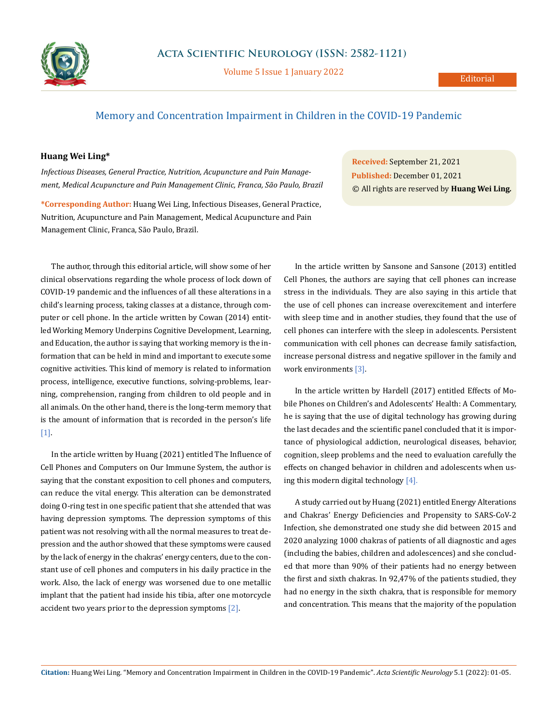

Volume 5 Issue 1 January 2022

## Memory and Concentration Impairment in Children in the COVID-19 Pandemic

## **Huang Wei Ling\***

*Infectious Diseases, General Practice, Nutrition, Acupuncture and Pain Management, Medical Acupuncture and Pain Management Clinic, Franca, São Paulo, Brazil*

**\*Corresponding Author:** Huang Wei Ling, Infectious Diseases, General Practice, Nutrition, Acupuncture and Pain Management, Medical Acupuncture and Pain Management Clinic, Franca, São Paulo, Brazil.

The author, through this editorial article, will show some of her clinical observations regarding the whole process of lock down of COVID-19 pandemic and the influences of all these alterations in a child's learning process, taking classes at a distance, through computer or cell phone. In the article written by Cowan (2014) entitled Working Memory Underpins Cognitive Development, Learning, and Education, the author is saying that working memory is the information that can be held in mind and important to execute some cognitive activities. This kind of memory is related to information process, intelligence, executive functions, solving-problems, learning, comprehension, ranging from children to old people and in all animals. On the other hand, there is the long-term memory that is the amount of information that is recorded in the person's life [1].

In the article written by Huang (2021) entitled The Influence of Cell Phones and Computers on Our Immune System, the author is saying that the constant exposition to cell phones and computers, can reduce the vital energy. This alteration can be demonstrated doing O-ring test in one specific patient that she attended that was having depression symptoms. The depression symptoms of this patient was not resolving with all the normal measures to treat depression and the author showed that these symptoms were caused by the lack of energy in the chakras' energy centers, due to the constant use of cell phones and computers in his daily practice in the work. Also, the lack of energy was worsened due to one metallic implant that the patient had inside his tibia, after one motorcycle accident two years prior to the depression symptoms [2].

**Received:** September 21, 2021 **Published:** December 01, 2021 © All rights are reserved by **Huang Wei Ling***.*

In the article written by Sansone and Sansone (2013) entitled Cell Phones, the authors are saying that cell phones can increase stress in the individuals. They are also saying in this article that the use of cell phones can increase overexcitement and interfere with sleep time and in another studies, they found that the use of cell phones can interfere with the sleep in adolescents. Persistent communication with cell phones can decrease family satisfaction, increase personal distress and negative spillover in the family and work environments [3].

In the article written by Hardell (2017) entitled Effects of Mobile Phones on Children's and Adolescents' Health: A Commentary, he is saying that the use of digital technology has growing during the last decades and the scientific panel concluded that it is importance of physiological addiction, neurological diseases, behavior, cognition, sleep problems and the need to evaluation carefully the effects on changed behavior in children and adolescents when using this modern digital technology  $[4]$ .

A study carried out by Huang (2021) entitled Energy Alterations and Chakras' Energy Deficiencies and Propensity to SARS-CoV-2 Infection, she demonstrated one study she did between 2015 and 2020 analyzing 1000 chakras of patients of all diagnostic and ages (including the babies, children and adolescences) and she concluded that more than 90% of their patients had no energy between the first and sixth chakras. In 92,47% of the patients studied, they had no energy in the sixth chakra, that is responsible for memory and concentration. This means that the majority of the population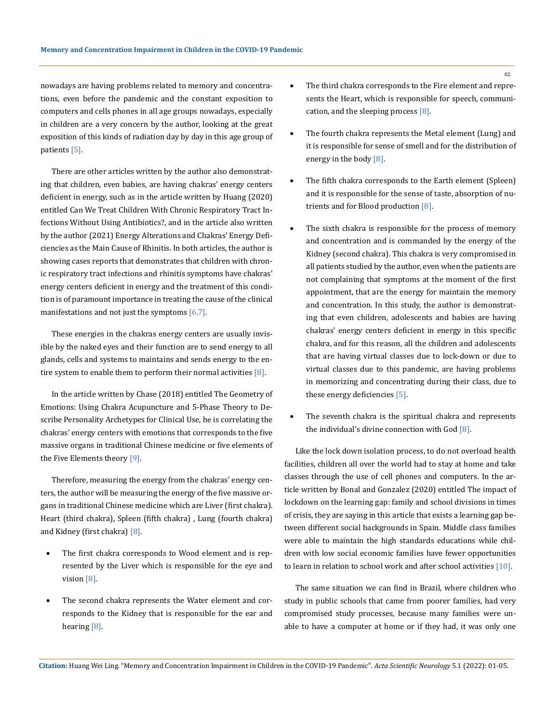nowadays are having problems related to memory and concentrations, even before the pandemic and the constant exposition to computers and cells phones in all age groups nowadays, especially in children are a very concern by the author, looking at the great exposition of this kinds of radiation day by day in this age group of patients [5].

There are other articles written by the author also demonstrating that children, even babies, are having chakras' energy centers deficient in energy, such as in the article written by Huang (2020) entitled Can We Treat Children With Chronic Respiratory Tract Infections Without Using Antibiotics?, and in the article also written by the author (2021) Energy Alterations and Chakras' Energy Deficiencies as the Main Cause of Rhinitis. In both articles, the author is showing cases reports that demonstrates that children with chronic respiratory tract infections and rhinitis symptoms have chakras' energy centers deficient in energy and the treatment of this condition is of paramount importance in treating the cause of the clinical manifestations and not just the symptoms [6,7].

These energies in the chakras energy centers are usually invisible by the naked eyes and their function are to send energy to all glands, cells and systems to maintains and sends energy to the entire system to enable them to perform their normal activities  $[8]$ .

In the article written by Chase (2018) entitled The Geometry of Emotions: Using Chakra Acupuncture and 5-Phase Theory to Describe Personality Archetypes for Clinical Use, he is correlating the chakras' energy centers with emotions that corresponds to the five massive organs in traditional Chinese medicine or five elements of the Five Elements theory [9].

Therefore, measuring the energy from the chakras' energy centers, the author will be measuring the energy of the five massive organs in traditional Chinese medicine which are Liver (first chakra). Heart (third chakra), Spleen (fifth chakra) , Lung (fourth chakra) and Kidney (first chakra) [8].

- The first chakra corresponds to Wood element and is represented by the Liver which is responsible for the eye and vision [8].
- The second chakra represents the Water element and corresponds to the Kidney that is responsible for the ear and hearing [8].
- The third chakra corresponds to the Fire element and represents the Heart, which is responsible for speech, communication, and the sleeping process [8].
- The fourth chakra represents the Metal element (Lung) and it is responsible for sense of smell and for the distribution of energy in the body [8].
- The fifth chakra corresponds to the Earth element (Spleen) and it is responsible for the sense of taste, absorption of nutrients and for Blood production [8].
- The sixth chakra is responsible for the process of memory and concentration and is commanded by the energy of the Kidney (second chakra). This chakra is very compromised in all patients studied by the author, even when the patients are not complaining that symptoms at the moment of the first appointment, that are the energy for maintain the memory and concentration. In this study, the author is demonstrating that even children, adolescents and babies are having chakras' energy centers deficient in energy in this specific chakra, and for this reason, all the children and adolescents that are having virtual classes due to lock-down or due to virtual classes due to this pandemic, are having problems in memorizing and concentrating during their class, due to these energy deficiencies [5].
- The seventh chakra is the spiritual chakra and represents the individual's divine connection with God  $[8]$ .

Like the lock down isolation process, to do not overload health facilities, children all over the world had to stay at home and take classes through the use of cell phones and computers. In the article written by Bonal and Gonzalez (2020) entitled The impact of lockdown on the learning gap: family and school divisions in times of crisis, they are saying in this article that exists a learning gap between different social backgrounds in Spain. Middle class families were able to maintain the high standards educations while children with low social economic families have fewer opportunities to learn in relation to school work and after school activities [10].

The same situation we can find in Brazil, where children who study in public schools that came from poorer families, had very compromised study processes, because many families were unable to have a computer at home or if they had, it was only one

**Citation:** Huang Wei Ling*.* "Memory and Concentration Impairment in Children in the COVID-19 Pandemic". *Acta Scientific Neurology* 5.1 (2022): 01-05.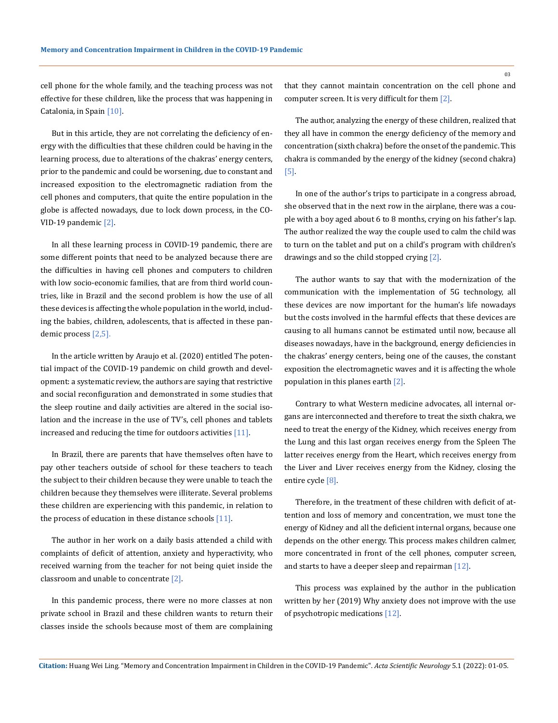cell phone for the whole family, and the teaching process was not effective for these children, like the process that was happening in Catalonia, in Spain [10].

But in this article, they are not correlating the deficiency of energy with the difficulties that these children could be having in the learning process, due to alterations of the chakras' energy centers, prior to the pandemic and could be worsening, due to constant and increased exposition to the electromagnetic radiation from the cell phones and computers, that quite the entire population in the globe is affected nowadays, due to lock down process, in the CO-VID-19 pandemic [2].

In all these learning process in COVID-19 pandemic, there are some different points that need to be analyzed because there are the difficulties in having cell phones and computers to children with low socio-economic families, that are from third world countries, like in Brazil and the second problem is how the use of all these devices is affecting the whole population in the world, including the babies, children, adolescents, that is affected in these pandemic process [2,5].

In the article written by Araujo et al. (2020) entitled The potential impact of the COVID-19 pandemic on child growth and development: a systematic review, the authors are saying that restrictive and social reconfiguration and demonstrated in some studies that the sleep routine and daily activities are altered in the social isolation and the increase in the use of TV's, cell phones and tablets increased and reducing the time for outdoors activities [11].

In Brazil, there are parents that have themselves often have to pay other teachers outside of school for these teachers to teach the subject to their children because they were unable to teach the children because they themselves were illiterate. Several problems these children are experiencing with this pandemic, in relation to the process of education in these distance schools [11].

The author in her work on a daily basis attended a child with complaints of deficit of attention, anxiety and hyperactivity, who received warning from the teacher for not being quiet inside the classroom and unable to concentrate [2].

In this pandemic process, there were no more classes at non private school in Brazil and these children wants to return their classes inside the schools because most of them are complaining that they cannot maintain concentration on the cell phone and computer screen. It is very difficult for them [2].

The author, analyzing the energy of these children, realized that they all have in common the energy deficiency of the memory and concentration (sixth chakra) before the onset of the pandemic. This chakra is commanded by the energy of the kidney (second chakra) [5].

In one of the author's trips to participate in a congress abroad, she observed that in the next row in the airplane, there was a couple with a boy aged about 6 to 8 months, crying on his father's lap. The author realized the way the couple used to calm the child was to turn on the tablet and put on a child's program with children's drawings and so the child stopped crying [2].

The author wants to say that with the modernization of the communication with the implementation of 5G technology, all these devices are now important for the human's life nowadays but the costs involved in the harmful effects that these devices are causing to all humans cannot be estimated until now, because all diseases nowadays, have in the background, energy deficiencies in the chakras' energy centers, being one of the causes, the constant exposition the electromagnetic waves and it is affecting the whole population in this planes earth [2].

Contrary to what Western medicine advocates, all internal organs are interconnected and therefore to treat the sixth chakra, we need to treat the energy of the Kidney, which receives energy from the Lung and this last organ receives energy from the Spleen The latter receives energy from the Heart, which receives energy from the Liver and Liver receives energy from the Kidney, closing the entire cycle [8].

Therefore, in the treatment of these children with deficit of attention and loss of memory and concentration, we must tone the energy of Kidney and all the deficient internal organs, because one depends on the other energy. This process makes children calmer, more concentrated in front of the cell phones, computer screen, and starts to have a deeper sleep and repairman [12].

This process was explained by the author in the publication written by her (2019) Why anxiety does not improve with the use of psychotropic medications [12].

**Citation:** Huang Wei Ling*.* "Memory and Concentration Impairment in Children in the COVID-19 Pandemic". *Acta Scientific Neurology* 5.1 (2022): 01-05.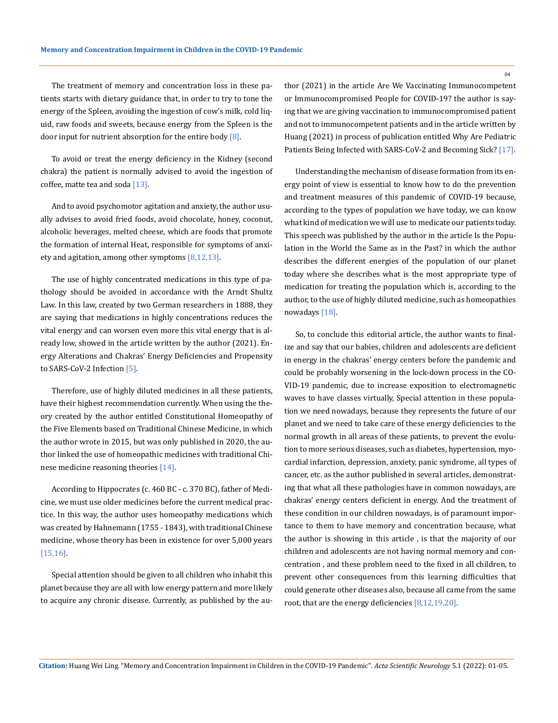The treatment of memory and concentration loss in these patients starts with dietary guidance that, in order to try to tone the energy of the Spleen, avoiding the ingestion of cow's milk, cold liquid, raw foods and sweets, because energy from the Spleen is the door input for nutrient absorption for the entire body  $[8]$ .

To avoid or treat the energy deficiency in the Kidney (second chakra) the patient is normally advised to avoid the ingestion of coffee, matte tea and soda [13].

And to avoid psychomotor agitation and anxiety, the author usually advises to avoid fried foods, avoid chocolate, honey, coconut, alcoholic beverages, melted cheese, which are foods that promote the formation of internal Heat, responsible for symptoms of anxiety and agitation, among other symptoms [8,12,13].

The use of highly concentrated medications in this type of pathology should be avoided in accordance with the Arndt Shultz Law. In this law, created by two German researchers in 1888, they are saying that medications in highly concentrations reduces the vital energy and can worsen even more this vital energy that is already low, showed in the article written by the author (2021). Energy Alterations and Chakras' Energy Deficiencies and Propensity to SARS-CoV-2 Infection [5].

Therefore, use of highly diluted medicines in all these patients, have their highest recommendation currently. When using the theory created by the author entitled Constitutional Homeopathy of the Five Elements based on Traditional Chinese Medicine, in which the author wrote in 2015, but was only published in 2020, the author linked the use of homeopathic medicines with traditional Chinese medicine reasoning theories [14].

According to Hippocrates (c. 460 BC - c. 370 BC), father of Medicine, we must use older medicines before the current medical practice. In this way, the author uses homeopathy medications which was created by Hahnemann (1755 - 1843), with traditional Chinese medicine, whose theory has been in existence for over 5,000 years [15,16].

Special attention should be given to all children who inhabit this planet because they are all with low energy pattern and more likely to acquire any chronic disease. Currently, as published by the author (2021) in the article Are We Vaccinating Immunocompetent or Immunocompromised People for COVID-19? the author is saying that we are giving vaccination to immunocompromised patient and not to immunocompetent patients and in the article written by Huang (2021) in process of publication entitled Why Are Pediatric Patients Being Infected with SARS-CoV-2 and Becoming Sick? [17].

Understanding the mechanism of disease formation from its energy point of view is essential to know how to do the prevention and treatment measures of this pandemic of COVID-19 because, according to the types of population we have today, we can know what kind of medication we will use to medicate our patients today. This speech was published by the author in the article Is the Population in the World the Same as in the Past? in which the author describes the different energies of the population of our planet today where she describes what is the most appropriate type of medication for treating the population which is, according to the author, to the use of highly diluted medicine, such as homeopathies nowadays [18].

So, to conclude this editorial article, the author wants to finalize and say that our babies, children and adolescents are deficient in energy in the chakras' energy centers before the pandemic and could be probably worsening in the lock-down process in the CO-VID-19 pandemic, due to increase exposition to electromagnetic waves to have classes virtually, Special attention in these population we need nowadays, because they represents the future of our planet and we need to take care of these energy deficiencies to the normal growth in all areas of these patients, to prevent the evolution to more serious diseases, such as diabetes, hypertension, myocardial infarction, depression, anxiety, panic syndrome, all types of cancer, etc. as the author published in several articles, demonstrating that what all these pathologies have in common nowadays, are chakras' energy centers deficient in energy. And the treatment of these condition in our children nowadays, is of paramount importance to them to have memory and concentration because, what the author is showing in this article , is that the majority of our children and adolescents are not having normal memory and concentration , and these problem need to the fixed in all children, to prevent other consequences from this learning difficulties that could generate other diseases also, because all came from the same root, that are the energy deficiencies [8,12,19,20].

**Citation:** Huang Wei Ling*.* "Memory and Concentration Impairment in Children in the COVID-19 Pandemic". *Acta Scientific Neurology* 5.1 (2022): 01-05.